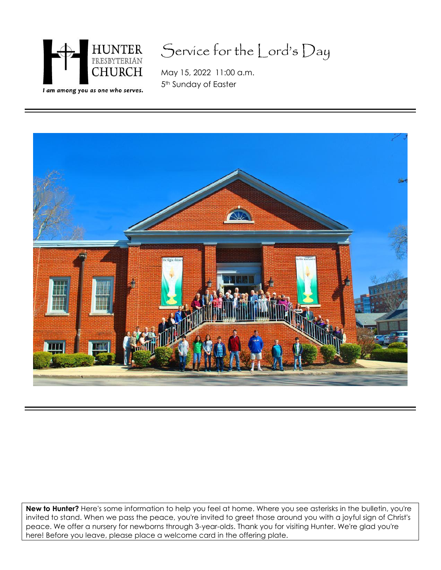

# Service for the Lord's Day

May 15, 2022 11:00 a.m. 5<sup>th</sup> Sunday of Easter



**New to Hunter?** Here's some information to help you feel at home. Where you see asterisks in the bulletin, you're invited to stand. When we pass the peace, you're invited to greet those around you with a joyful sign of Christ's peace. We offer a nursery for newborns through 3-year-olds. Thank you for visiting Hunter. We're glad you're here! Before you leave, please place a welcome card in the offering plate.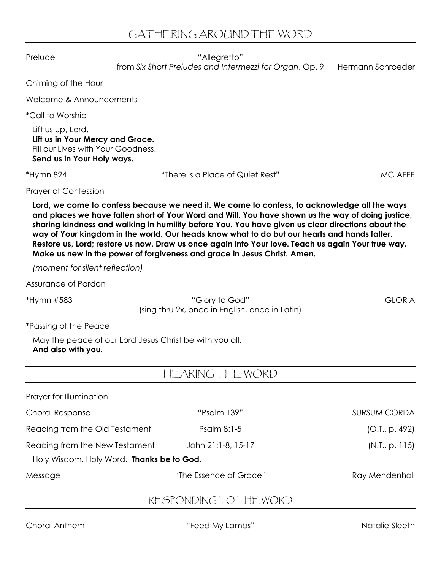## GATHERING AROUND THE WORD

Prelude "Allegretto"

from Six Short Preludes and Intermezzi for Organ, Op. 9 Hermann Schroeder

Chiming of the Hour

Welcome & Announcements

\*Call to Worship

Lift us up, Lord. **Lift us in Your Mercy and Grace.** Fill our Lives with Your Goodness. **Send us in Your Holy ways.**

\*Hymn 824 "There Is a Place of Quiet Rest" MC AFEE

Prayer of Confession

**Lord, we come to confess because we need it. We come to confess, to acknowledge all the ways and places we have fallen short of Your Word and Will. You have shown us the way of doing justice, sharing kindness and walking in humility before You. You have given us clear directions about the way of Your kingdom in the world. Our heads know what to do but our hearts and hands falter. Restore us, Lord; restore us now. Draw us once again into Your love. Teach us again Your true way. Make us new in the power of forgiveness and grace in Jesus Christ. Amen.**

*(moment for silent reflection)*

Assurance of Pardon

\*Hymn #583 "Glory to God" GLORIA (sing thru 2x, once in English, once in Latin)

\*Passing of the Peace

May the peace of our Lord Jesus Christ be with you all. **And also with you.**

## HEARING THE WORD

| Prayer for Illumination                                                     |                        |                     |
|-----------------------------------------------------------------------------|------------------------|---------------------|
| <b>Choral Response</b>                                                      | "Psalm 139"            | <b>SURSUM CORDA</b> |
| Reading from the Old Testament                                              | Psalm 8:1-5            | (O.I., p. 492)      |
| Reading from the New Testament<br>Holy Wisdom. Holy Word. Thanks be to God. | John 21:1-8, 15-17     | (N.I., p. 115)      |
| Message                                                                     | "The Essence of Grace" | Ray Mendenhall      |

### RESPONDING TO THE WORD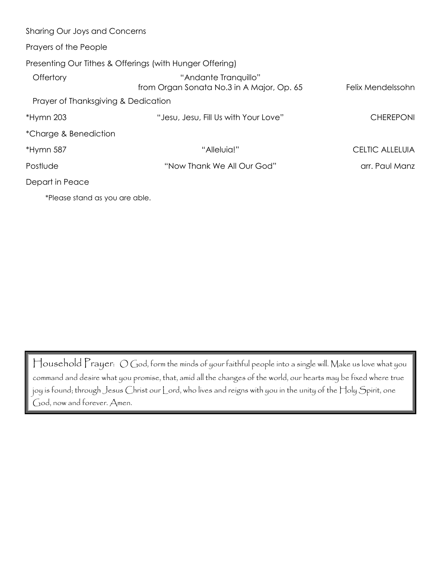| Sharing Our Joys and Concerns       |                                                                   |                   |
|-------------------------------------|-------------------------------------------------------------------|-------------------|
| Prayers of the People               |                                                                   |                   |
|                                     | Presenting Our Tithes & Offerings (with Hunger Offering)          |                   |
| Offertory                           | "Andante Tranquillo"<br>from Organ Sonata No.3 in A Major, Op. 65 | Felix Mendelssohn |
| Prayer of Thanksgiving & Dedication |                                                                   |                   |
| *Hymn 203                           | "Jesu, Jesu, Fill Us with Your Love"                              | <b>CHEREPONI</b>  |
| *Charge & Benediction               |                                                                   |                   |
| *Hymn 587                           | "Alleluia!"                                                       | CELTIC ALLELUIA   |
| Postlude                            | "Now Thank We All Our God"                                        | arr. Paul Manz    |
| Depart in Peace                     |                                                                   |                   |
| *Please stand as you are able.      |                                                                   |                   |

Household Prayer: O God, form the minds of your faithful people into a single will. Make us love what you command and desire what you promise, that, amid all the changes of the world, our hearts may be fixed where true joy is found; through Jesus Christ our Lord, who lives and reigns with you in the unity of the Holy Spirit, one God, now and forever. Amen.